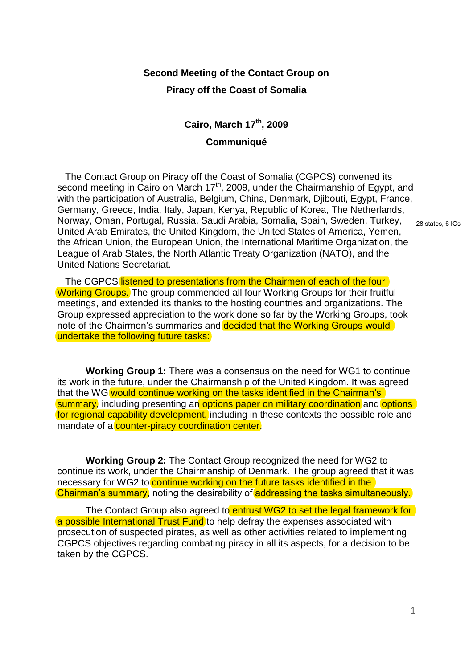## **Second Meeting of the Contact Group on**

## **Piracy off the Coast of Somalia**

## **Cairo, March 17th, 2009 Communiqué**

 The Contact Group on Piracy off the Coast of Somalia (CGPCS) convened its second meeting in Cairo on March  $17<sup>th</sup>$ , 2009, under the Chairmanship of Egypt, and with the participation of Australia, Belgium, China, Denmark, Djibouti, Egypt, France, Germany, Greece, India, Italy, Japan, Kenya, Republic of Korea, The Netherlands, Norway, Oman, Portugal, Russia, Saudi Arabia, Somalia, Spain, Sweden, Turkey, United Arab Emirates, the United Kingdom, the United States of America, Yemen, the African Union, the European Union, the International Maritime Organization, the League of Arab States, the North Atlantic Treaty Organization (NATO), and the United Nations Secretariat.

The CGPCS listened to presentations from the Chairmen of each of the four Working Groups. The group commended all four Working Groups for their fruitful meetings, and extended its thanks to the hosting countries and organizations. The Group expressed appreciation to the work done so far by the Working Groups, took note of the Chairmen's summaries and decided that the Working Groups would undertake the following future tasks:

**Working Group 1:** There was a consensus on the need for WG1 to continue its work in the future, under the Chairmanship of the United Kingdom. It was agreed that the WG would continue working on the tasks identified in the Chairman's summary, including presenting an options paper on military coordination and options for regional capability development, including in these contexts the possible role and mandate of a **counter-piracy coordination center.** 

**Working Group 2:** The Contact Group recognized the need for WG2 to continue its work, under the Chairmanship of Denmark. The group agreed that it was necessary for WG2 to continue working on the future tasks identified in the Chairman's summary, noting the desirability of addressing the tasks simultaneously.

The Contact Group also agreed to entrust WG2 to set the legal framework for a possible International Trust Fund to help defray the expenses associated with prosecution of suspected pirates, as well as other activities related to implementing CGPCS objectives regarding combating piracy in all its aspects, for a decision to be taken by the CGPCS.

28 states, 6 IOs